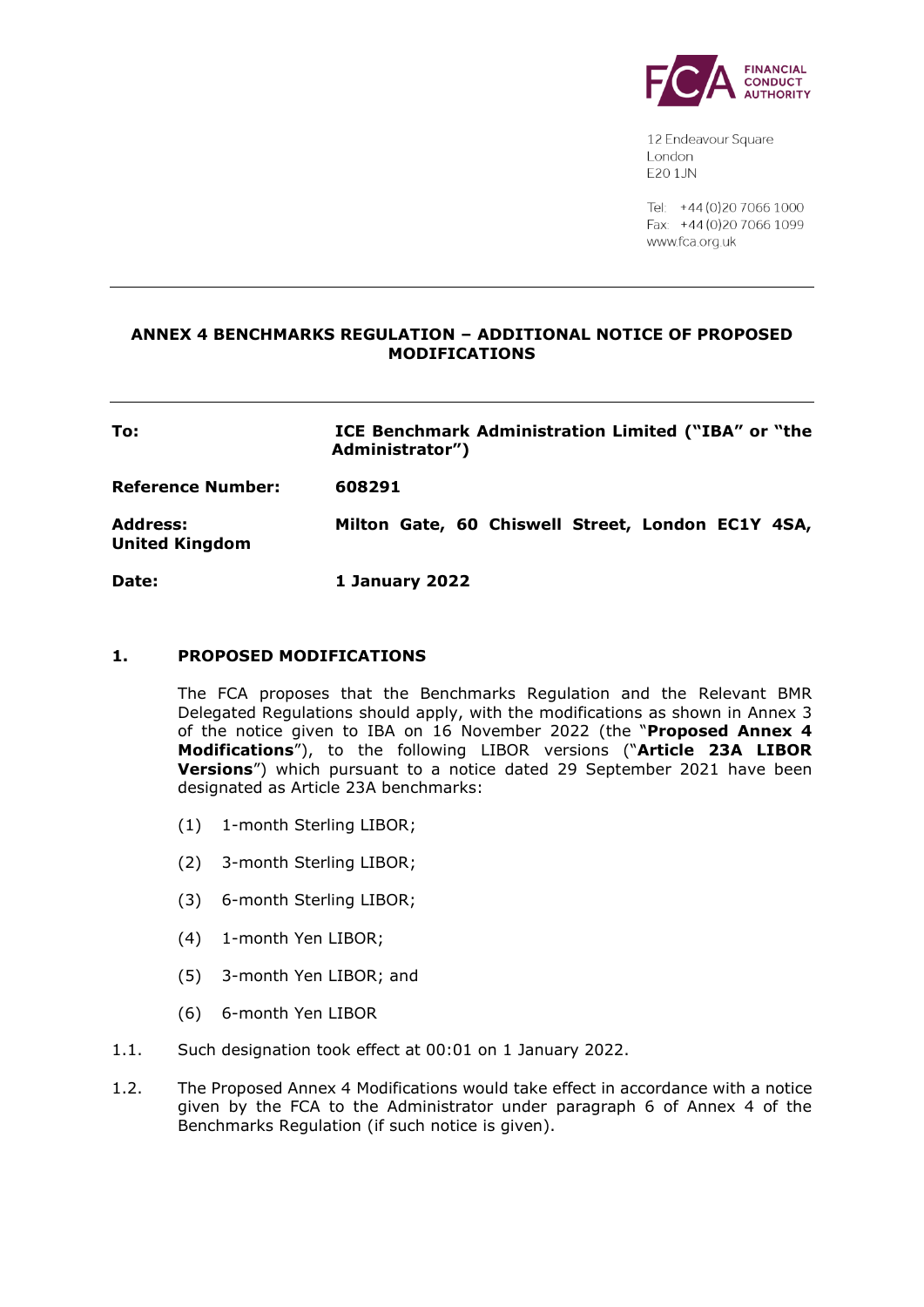

12 Endeavour Square London E201JN

Tel: +44 (0) 20 7066 1000 Fax: +44 (0) 20 7066 1099 www.fca.org.uk

## **ANNEX 4 BENCHMARKS REGULATION – ADDITIONAL NOTICE OF PROPOSED MODIFICATIONS**

| To:                               | ICE Benchmark Administration Limited ("IBA" or "the<br>Administrator") |
|-----------------------------------|------------------------------------------------------------------------|
| Reference Number:                 | 608291                                                                 |
| Address:<br><b>United Kingdom</b> | Milton Gate, 60 Chiswell Street, London EC1Y 4SA,                      |

**Date: 1 January 2022**

#### **1. PROPOSED MODIFICATIONS**

The FCA proposes that the Benchmarks Regulation and the Relevant BMR Delegated Regulations should apply, with the modifications as shown in Annex 3 of the notice given to IBA on 16 November 2022 (the "**Proposed Annex 4 Modifications**"), to the following LIBOR versions ("**Article 23A LIBOR Versions**") which pursuant to a notice dated 29 September 2021 have been designated as Article 23A benchmarks:

- (1) 1-month Sterling LIBOR;
- (2) 3-month Sterling LIBOR;
- (3) 6-month Sterling LIBOR;
- (4) 1-month Yen LIBOR;
- (5) 3-month Yen LIBOR; and
- (6) 6-month Yen LIBOR
- 1.1. Such designation took effect at 00:01 on 1 January 2022.
- 1.2. The Proposed Annex 4 Modifications would take effect in accordance with a notice given by the FCA to the Administrator under paragraph 6 of Annex 4 of the Benchmarks Regulation (if such notice is given).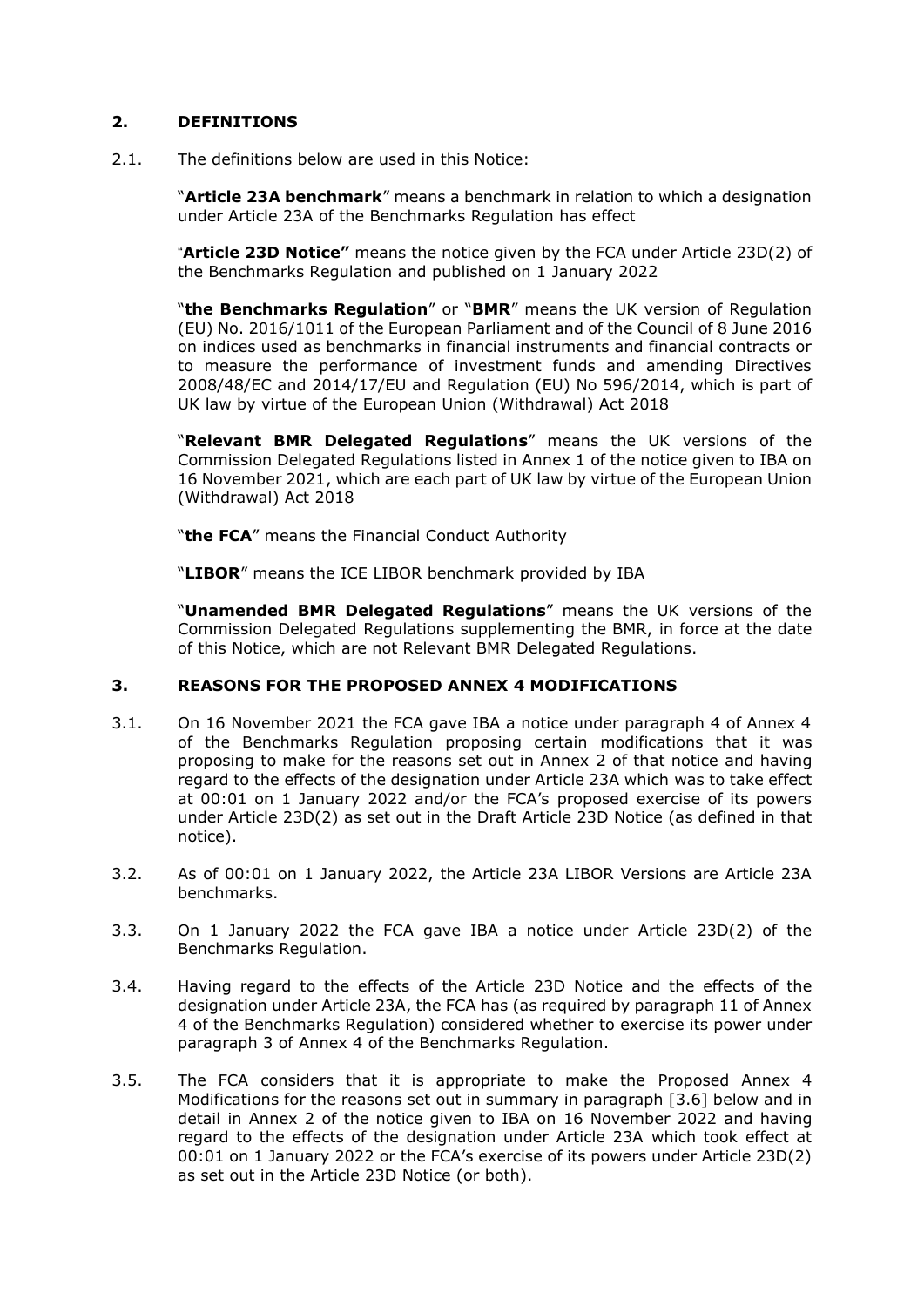## **2. DEFINITIONS**

2.1. The definitions below are used in this Notice:

"**Article 23A benchmark**" means a benchmark in relation to which a designation under Article 23A of the Benchmarks Regulation has effect

"**Article 23D Notice"** means the notice given by the FCA under Article 23D(2) of the Benchmarks Regulation and published on 1 January 2022

"**the Benchmarks Regulation**" or "**BMR**" means the UK version of Regulation (EU) No. 2016/1011 of the European Parliament and of the Council of 8 June 2016 on indices used as benchmarks in financial instruments and financial contracts or to measure the performance of investment funds and amending Directives 2008/48/EC and 2014/17/EU and Regulation (EU) No 596/2014, which is part of UK law by virtue of the European Union (Withdrawal) Act 2018

"**Relevant BMR Delegated Regulations**" means the UK versions of the Commission Delegated Regulations listed in Annex 1 of the notice given to IBA on 16 November 2021, which are each part of UK law by virtue of the European Union (Withdrawal) Act 2018

"**the FCA**" means the Financial Conduct Authority

"**LIBOR**" means the ICE LIBOR benchmark provided by IBA

"**Unamended BMR Delegated Regulations**" means the UK versions of the Commission Delegated Regulations supplementing the BMR, in force at the date of this Notice, which are not Relevant BMR Delegated Regulations.

## **3. REASONS FOR THE PROPOSED ANNEX 4 MODIFICATIONS**

- 3.1. On 16 November 2021 the FCA gave IBA a notice under paragraph 4 of Annex 4 of the Benchmarks Regulation proposing certain modifications that it was proposing to make for the reasons set out in Annex 2 of that notice and having regard to the effects of the designation under Article 23A which was to take effect at 00:01 on 1 January 2022 and/or the FCA's proposed exercise of its powers under Article 23D(2) as set out in the Draft Article 23D Notice (as defined in that notice).
- 3.2. As of 00:01 on 1 January 2022, the Article 23A LIBOR Versions are Article 23A benchmarks.
- 3.3. On 1 January 2022 the FCA gave IBA a notice under Article 23D(2) of the Benchmarks Regulation.
- 3.4. Having regard to the effects of the Article 23D Notice and the effects of the designation under Article 23A, the FCA has (as required by paragraph 11 of Annex 4 of the Benchmarks Regulation) considered whether to exercise its power under paragraph 3 of Annex 4 of the Benchmarks Regulation.
- 3.5. The FCA considers that it is appropriate to make the Proposed Annex 4 Modifications for the reasons set out in summary in paragraph [3.6] below and in detail in Annex 2 of the notice given to IBA on 16 November 2022 and having regard to the effects of the designation under Article 23A which took effect at 00:01 on 1 January 2022 or the FCA's exercise of its powers under Article 23D(2) as set out in the Article 23D Notice (or both).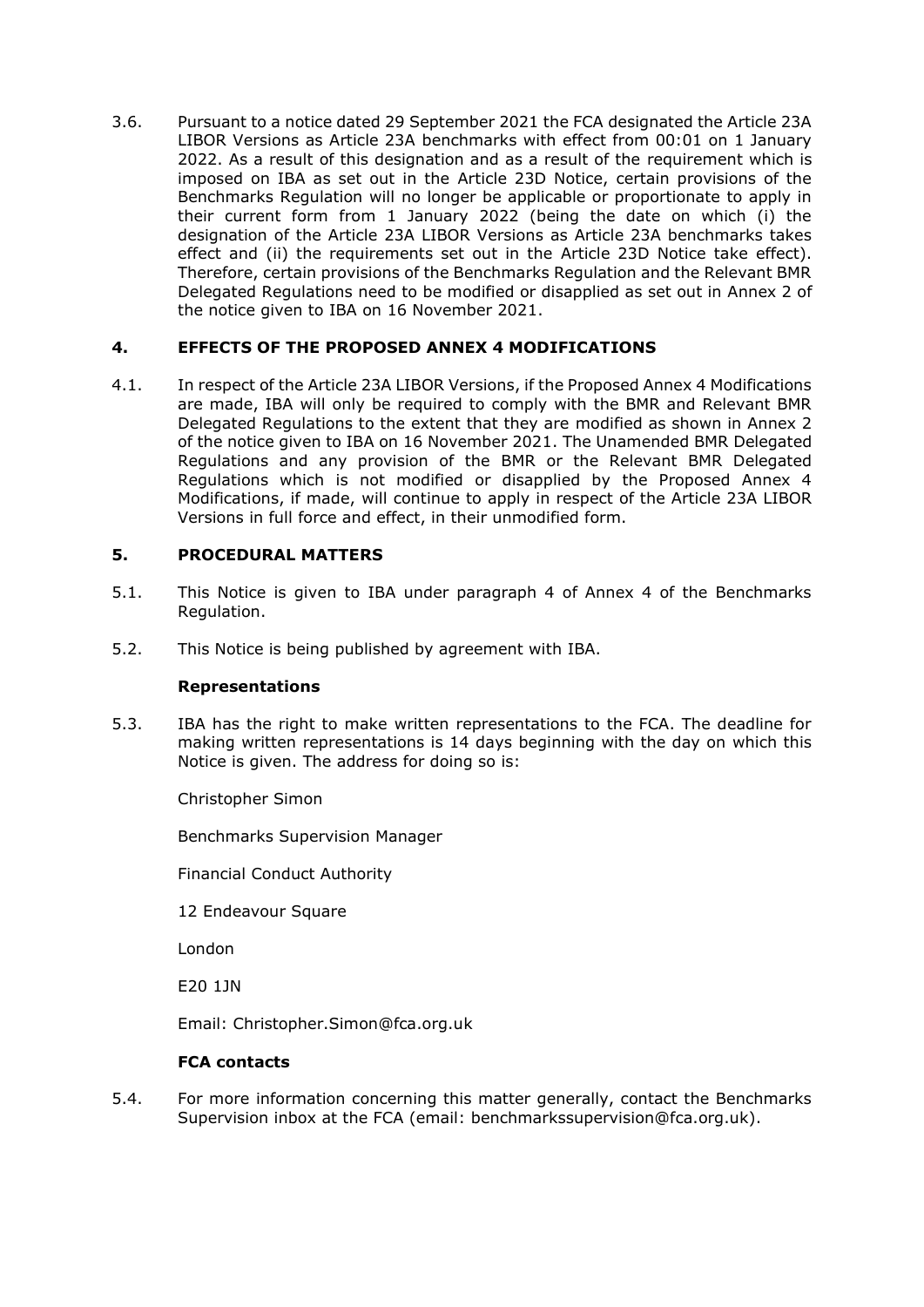3.6. Pursuant to a notice dated 29 September 2021 the FCA designated the Article 23A LIBOR Versions as Article 23A benchmarks with effect from 00:01 on 1 January 2022. As a result of this designation and as a result of the requirement which is imposed on IBA as set out in the Article 23D Notice, certain provisions of the Benchmarks Regulation will no longer be applicable or proportionate to apply in their current form from 1 January 2022 (being the date on which (i) the designation of the Article 23A LIBOR Versions as Article 23A benchmarks takes effect and (ii) the requirements set out in the Article 23D Notice take effect). Therefore, certain provisions of the Benchmarks Regulation and the Relevant BMR Delegated Regulations need to be modified or disapplied as set out in Annex 2 of the notice given to IBA on 16 November 2021.

## **4. EFFECTS OF THE PROPOSED ANNEX 4 MODIFICATIONS**

4.1. In respect of the Article 23A LIBOR Versions, if the Proposed Annex 4 Modifications are made, IBA will only be required to comply with the BMR and Relevant BMR Delegated Regulations to the extent that they are modified as shown in Annex 2 of the notice given to IBA on 16 November 2021. The Unamended BMR Delegated Regulations and any provision of the BMR or the Relevant BMR Delegated Regulations which is not modified or disapplied by the Proposed Annex 4 Modifications, if made, will continue to apply in respect of the Article 23A LIBOR Versions in full force and effect, in their unmodified form.

# **5. PROCEDURAL MATTERS**

- 5.1. This Notice is given to IBA under paragraph 4 of Annex 4 of the Benchmarks Regulation.
- 5.2. This Notice is being published by agreement with IBA.

## **Representations**

5.3. IBA has the right to make written representations to the FCA. The deadline for making written representations is 14 days beginning with the day on which this Notice is given. The address for doing so is:

Christopher Simon

Benchmarks Supervision Manager

Financial Conduct Authority

12 Endeavour Square

London

E20 1JN

Email: Christopher.Simon@fca.org.uk

## **FCA contacts**

5.4. For more information concerning this matter generally, contact the Benchmarks Supervision inbox at the FCA (email: benchmarkssupervision@fca.org.uk).